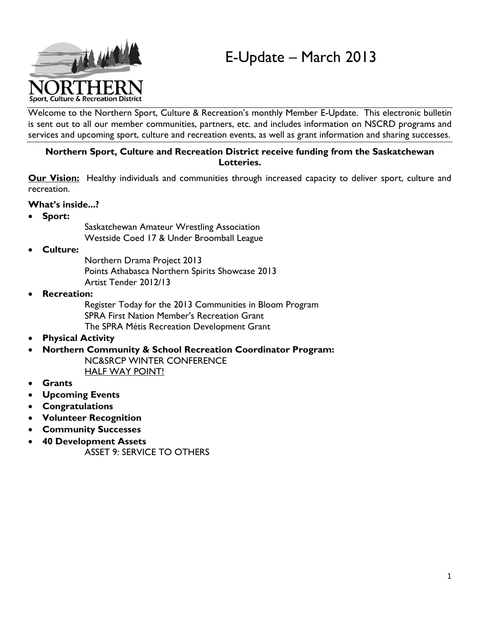# E-Update – March 2013



Welcome to the Northern Sport, Culture & Recreation's monthly Member E-Update. This electronic bulletin is sent out to all our member communities, partners, etc. and includes information on NSCRD programs and services and upcoming sport, culture and recreation events, as well as grant information and sharing successes.

#### **Northern Sport, Culture and Recreation District receive funding from the Saskatchewan Lotteries.**

**Our Vision:** Healthy individuals and communities through increased capacity to deliver sport, culture and recreation.

#### **What's inside...?**

**Sport:**

Saskatchewan Amateur Wrestling Association Westside Coed 17 & Under Broomball League

- **Culture:** 
	- Northern Drama Project 2013 Points Athabasca Northern Spirits Showcase 2013 Artist Tender 2012/13
- **Recreation:**

Register Today for the 2013 Communities in Bloom Program SPRA First Nation Member's Recreation Grant The SPRA Métis Recreation Development Grant

**Physical Activity**

#### **Northern Community & School Recreation Coordinator Program:**

NC&SRCP WINTER CONFERENCE HALF WAY POINT!

- **Grants**
- **Upcoming Events**
- **Congratulations**
- **Volunteer Recognition**
- **Community Successes**
- **40 Development Assets**
	- ASSET 9: SERVICE TO OTHERS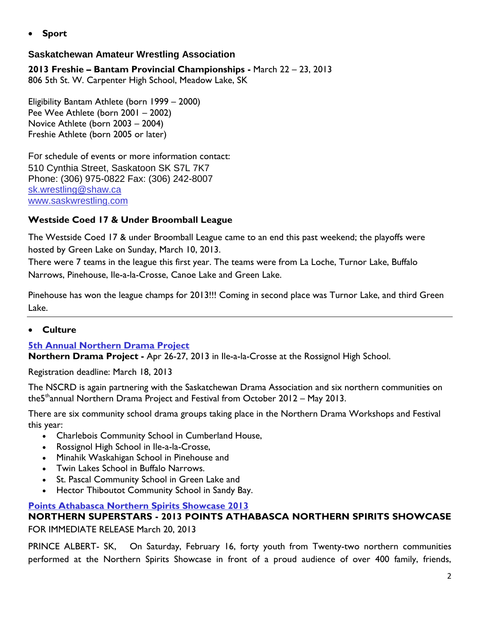**Sport**

# **Saskatchewan Amateur Wrestling Association**

**2013 Freshie – Bantam Provincial Championships -** March 22 – 23, 2013 806 5th St. W. Carpenter High School, Meadow Lake, SK

Eligibility Bantam Athlete (born 1999 – 2000) Pee Wee Athlete (born 2001 – 2002) Novice Athlete (born 2003 – 2004) Freshie Athlete (born 2005 or later)

For schedule of events or more information contact: 510 Cynthia Street, Saskatoon SK S7L 7K7 Phone: (306) 975-0822 Fax: (306) 242-8007 <sk.wrestling@shaw.ca> <www.saskwrestling.com>

# **Westside Coed 17 & Under Broomball League**

The Westside Coed 17 & under Broomball League came to an end this past weekend; the playoffs were hosted by Green Lake on Sunday, March 10, 2013.

There were 7 teams in the league this first year. The teams were from La Loche, Turnor Lake, Buffalo Narrows, Pinehouse, Ile-a-la-Crosse, Canoe Lake and Green Lake.

Pinehouse has won the league champs for 2013!!! Coming in second place was Turnor Lake, and third Green Lake.

# **Culture**

# **5th Annual [Northern Drama Project](http://www.nscrd.com/programss/culture-programs/northern-drama-project.html)**

**Northern Drama Project -** Apr 26-27, 2013 in Ile-a-la-Crosse at the Rossignol High School.

Registration deadline: March 18, 2013

The NSCRD is again partnering with the Saskatchewan Drama Association and six northern communities on the5 thannual Northern Drama Project and Festival from October 2012 – May 2013.

There are six community school drama groups taking place in the Northern Drama Workshops and Festival this year:

- Charlebois Community School in Cumberland House,
- Rossignol High School in Ile-a-la-Crosse,
- Minahik Waskahigan School in Pinehouse and
- Twin Lakes School in Buffalo Narrows.
- St. Pascal Community School in Green Lake and
- Hector Thiboutot Community School in Sandy Bay.

#### **[Points Athabasca Northern Spirits Showcase 2013](http://www.nscrd.com/programss/culture-programs/points-athabasca-northern-spirits-showcase.html)**

**NORTHERN SUPERSTARS - 2013 POINTS ATHABASCA NORTHERN SPIRITS SHOWCASE**  FOR IMMEDIATE RELEASE March 20, 2013

PRINCE ALBERT- SK, On Saturday, February 16, forty youth from Twenty-two northern communities performed at the Northern Spirits Showcase in front of a proud audience of over 400 family, friends,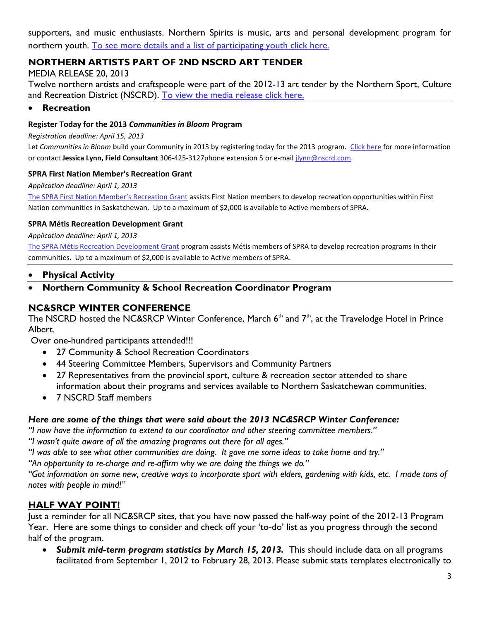supporters, and music enthusiasts. Northern Spirits is music, arts and personal development program for northern youth. [To see more details and a list of participating youth click here.](http://www.nscrd.com/uploads/files/program/24/2013-points-athabasca-northern-spirits-showcase-media-release---mar.20,-2013.pdf)

# **NORTHERN ARTISTS PART OF 2ND NSCRD ART TENDER**

MEDIA RELEASE 20, 2013

Twelve northern artists and craftspeople were part of the 2012-13 art tender by the Northern Sport, Culture and Recreation District (NSCRD). [To view the media release click here.](http://www.nscrd.com/programss/culture-programs/nscrd-arts-and-crafts-tender.html)

#### **Recreation**

#### **Register Today for the 2013** *Communities in Bloom* **Program**

*Registration deadline: April 15, 2013*

Let *Communities in Bloom* build your Community in 2013 by registering today for the 2013 program. [Click here](http://www.spra.sk.ca/news-events/communities-in-bloom/) for more information or contact **Jessica Lynn, Field Consultant** 306-425-3127phone extension 5 or e-mail [jlynn@nscrd.com.](mailto:jlynn@nscrd.com)

#### **SPRA First Nation Member's Recreation Grant**

*Application deadline: April 1, 2013*

The [SPRA First Nation Member's Recreation Grant](http://www.spra.sk.ca/funding/spra-grants/#fn) assists First Nation members to develop recreation opportunities within First Nation communities in Saskatchewan. Up to a maximum of \$2,000 is available to Active members of SPRA.

#### **SPRA Métis Recreation Development Grant**

*Application deadline: April 1, 2013*

[The SPRA Métis Recreation Development Grant](http://www.spra.sk.ca/funding/spra-grants/#metis) program assists Métis members of SPRA to develop recreation programs in their communities. Up to a maximum of \$2,000 is available to Active members of SPRA.

#### **Physical Activity**

#### **Northern Community & School Recreation Coordinator Program**

## **NC&SRCP WINTER CONFERENCE**

The NSCRD hosted the NC&SRCP Winter Conference, March  $6<sup>th</sup>$  and  $7<sup>th</sup>$ , at the Travelodge Hotel in Prince Albert.

Over one-hundred participants attended!!!

- 27 Community & School Recreation Coordinators
- 44 Steering Committee Members, Supervisors and Community Partners
- 27 Representatives from the provincial sport, culture & recreation sector attended to share information about their programs and services available to Northern Saskatchewan communities.
- 7 NSCRD Staff members

#### *Here are some of the things that were said about the 2013 NC&SRCP Winter Conference:*

*"I now have the information to extend to our coordinator and other steering committee members."*

*"I wasn't quite aware of all the amazing programs out there for all ages."*

*"I was able to see what other communities are doing. It gave me some ideas to take home and try."*

*"An opportunity to re-charge and re-affirm why we are doing the things we do."*

*"Got information on some new, creative ways to incorporate sport with elders, gardening with kids, etc. I made tons of notes with people in mind!"*

#### **HALF WAY POINT!**

Just a reminder for all NC&SRCP sites, that you have now passed the half-way point of the 2012-13 Program Year. Here are some things to consider and check off your 'to-do' list as you progress through the second half of the program.

 *Submit mid-term program statistics by March 15, 2013.* This should include data on all programs facilitated from September 1, 2012 to February 28, 2013. Please submit stats templates electronically to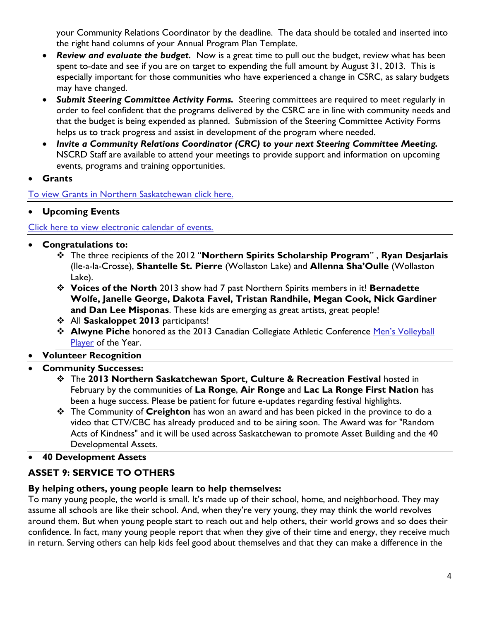your Community Relations Coordinator by the deadline. The data should be totaled and inserted into the right hand columns of your Annual Program Plan Template.

- *Review and evaluate the budget.* Now is a great time to pull out the budget, review what has been spent to-date and see if you are on target to expending the full amount by August 31, 2013. This is especially important for those communities who have experienced a change in CSRC, as salary budgets may have changed.
- *Submit Steering Committee Activity Forms.* Steering committees are required to meet regularly in order to feel confident that the programs delivered by the CSRC are in line with community needs and that the budget is being expended as planned. Submission of the Steering Committee Activity Forms helps us to track progress and assist in development of the program where needed.
- *Invite a Community Relations Coordinator (CRC) to your next Steering Committee Meeting.* NSCRD Staff are available to attend your meetings to provide support and information on upcoming events, programs and training opportunities.
- **Grants**

[To view Grants in Northern Saskatchewan click here.](http://www.nscrd.com/news/northern-news.html) 

**Upcoming Events** 

[Click here to view electronic calendar of events.](http://www.nscrd.com/calendar/calendar-grants.html)

- **Congratulations to:**
	- The three recipients of the 2012 "**Northern Spirits Scholarship Program**" , **Ryan Desjarlais** (Ile-a-la-Crosse), **Shantelle St. Pierre** (Wollaston Lake) and **Allenna Sha'Oulle** (Wollaston Lake).
	- **Voices of the North** 2013 show had 7 past Northern Spirits members in it! **Bernadette Wolfe, Janelle George, Dakota Favel, Tristan Randhile, Megan Cook, Nick Gardiner and Dan Lee Misponas**. These kids are emerging as great artists, great people!
	- All **Saskaloppet 2013** participants!
	- **\*** Alwyne Piche honored as the 2013 Canadian Collegiate Athletic Conference Men's Volleyball [Player](http://www.fortmcmurraytoday.com/2013/03/06/piche-named-canadian-mvp) of the Year.
- **Volunteer Recognition**
- **Community Successes:**
	- The **2013 Northern Saskatchewan Sport, Culture & Recreation Festival** hosted in February by the communities of **La Ronge**, **Air Ronge** and **Lac La Ronge First Nation** has been a huge success. Please be patient for future e-updates regarding festival highlights.
	- The Community of **Creighton** has won an award and has been picked in the province to do a video that CTV/CBC has already produced and to be airing soon. The Award was for "Random Acts of Kindness" and it will be used across Saskatchewan to promote Asset Building and the 40 Developmental Assets.
- **40 Development Assets**

# **ASSET 9: SERVICE TO OTHERS**

# **By helping others, young people learn to help themselves:**

To many young people, the world is small. It's made up of their school, home, and neighborhood. They may assume all schools are like their school. And, when they're very young, they may think the world revolves around them. But when young people start to reach out and help others, their world grows and so does their confidence. In fact, many young people report that when they give of their time and energy, they receive much in return. Serving others can help kids feel good about themselves and that they can make a difference in the